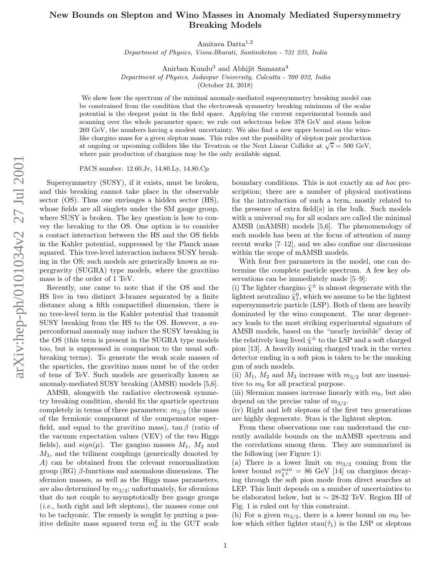## New Bounds on Slepton and Wino Masses in Anomaly Mediated Supersymmetry Breaking Models

Amitava Datta<sup>1,2</sup>

Department of Physics, Visva-Bharati, Santiniketan - 731 235, India

Anirban Kundu <sup>3</sup> and Abhijit Samanta 4

Department of Physics, Jadavpur University, Calcutta - 700 032, India

(October 24, 2018)

We show how the spectrum of the minimal anomaly-mediated supersymmetry breaking model can be constrained from the condition that the electroweak symmetry breaking minimum of the scalar potential is the deepest point in the field space. Applying the current experimental bounds and scanning over the whole parameter space, we rule out selectrons below 378 GeV and staus below 269 GeV, the numbers having a modest uncertainty. We also find a new upper bound on the winolike chargino mass for a given slepton mass. This rules out the possibility of slepton pair production at ongoing or upcoming colliders like the Tevatron or the Next Linear Collider at  $\sqrt{s} = 500 \text{ GeV}$ , where pair production of charginos may be the only available signal.

PACS number: 12.60.Jv, 14.80.Ly, 14.80.Cp

Supersymmetry (SUSY), if it exists, must be broken, and this breaking cannot take place in the observable sector (OS). Thus one envisages a hidden sector (HS), whose fields are all singlets under the SM gauge group, where SUSY is broken. The key question is how to convey the breaking to the OS. One option is to consider a contact interaction between the HS and the OS fields in the Kahler potential, suppressed by the Planck mass squared. This tree-level interaction induces SUSY breaking in the OS; such models are generically known as supergravity (SUGRA) type models, where the gravitino mass is of the order of 1 TeV.

Recently, one came to note that if the OS and the HS live in two distinct 3-branes separated by a finite distance along a fifth compactified dimension, there is no tree-level term in the Kahler potential that transmit SUSY breaking from the HS to the OS. However, a superconformal anomaly may induce the SUSY breaking in the OS (this term is present in the SUGRA type models too, but is suppressed in comparison to the usual softbreaking terms). To generate the weak scale masses of the sparticles, the gravitino mass must be of the order of tens of TeV. Such models are generically known as anomaly-mediated SUSY breaking (AMSB) models [5,6].

AMSB, alongwith the radiative electroweak symmetry breaking condition, should fix the sparticle spectrum completely in terms of three parameters:  $m_{3/2}$  (the mass of the fermionic component of the compensator superfield, and equal to the gravitino mass),  $\tan \beta$  (ratio of the vacuum expectation values (VEV) of the two Higgs fields), and  $sign(\mu)$ . The gaugino masses  $M_1$ ,  $M_2$  and  $M_3$ , and the trilinear couplings (generically denoted by A) can be obtained from the relevant renormalization  $\text{group (RG)} \beta$ -functions and anomalous dimensions. The sfermion masses, as well as the Higgs mass parameters, are also determined by  $m_{3/2}$ ; unfortunately, for sfermions that do not couple to asymptotically free gauge groups (i.e., both right and left sleptons), the masses come out to be tachyonic. The remedy is sought by putting a positive definite mass squared term  $m_0^2$  in the GUT scale

boundary conditions. This is not exactly an ad hoc prescription; there are a number of physical motivations for the introduction of such a term, mostly related to the presence of extra field(s) in the bulk. Such models with a universal  $m_0$  for all scalars are called the minimal AMSB (mAMSB) models [5,6]. The phenomenology of such models has been at the focus of attention of many recent works [7–12], and we also confine our discussions within the scope of mAMSB models.

With four free parameters in the model, one can determine the complete particle spectrum. A few key observations can be immediately made [5–9]:

(i) The lighter chargino  $\tilde{\chi}^{\pm}$  is almost degenerate with the lightest neutralino  $\tilde{\chi}_1^0$ , which we assume to be the lightest supersymmetric particle (LSP). Both of them are heavily dominated by the wino component. The near degeneracy leads to the most striking experimental signature of AMSB models, based on the "nearly invisible" decay of the relatively long lived  $\tilde{\chi}^{\pm}$  to the LSP and a soft charged pion [13]. A heavily ionizing charged track in the vertex detector ending in a soft pion is taken to be the smoking gun of such models.

(ii)  $M_1$ ,  $M_2$  and  $M_3$  increase with  $m_{3/2}$  but are insensitive to  $m_0$  for all practical purpose.

(iii) Sfermion masses increase linearly with  $m_0$ , but also depend on the precise value of  $m_{3/2}$ .

(iv) Right and left sleptons of the first two generations are highly degenerate. Stau is the lightest slepton.

From these observations one can understand the currently available bounds on the mAMSB spectrum and the correlations among them. They are summarized in the following (see Figure 1):

(a) There is a lower limit on  $m_{3/2}$  coming from the lower bound  $m_{\tilde{\chi}^{\pm}}^{min} = 86$  GeV [14] on charginos decaying through the soft pion mode from direct searches at LEP. This limit depends on a number of uncertainties to be elaborated below, but is ∼ 28-32 TeV. Region III of Fig. 1 is ruled out by this constraint.

(b) For a given  $m_{3/2}$ , there is a lower bound on  $m_0$  below which either lighter stau $(\tilde{\tau}_1)$  is the LSP or sleptons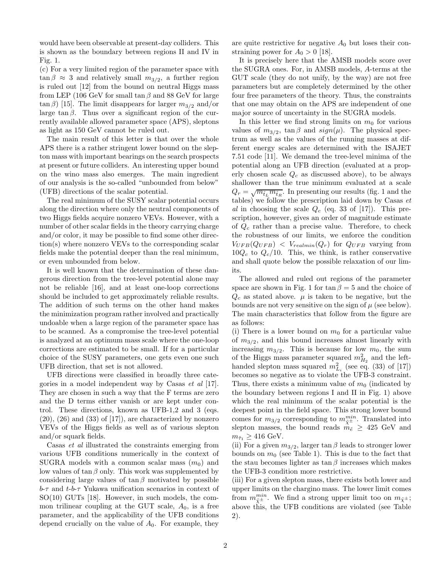would have been observable at present-day colliders. This is shown as the boundary between regions II and IV in Fig. 1.

(c) For a very limited region of the parameter space with  $\tan \beta \approx 3$  and relatively small  $m_{3/2}$ , a further region is ruled out [12] from the bound on neutral Higgs mass from LEP (106 GeV for small  $\tan \beta$  and 88 GeV for large  $\tan \beta$ ) [15]. The limit disappears for larger  $m_{3/2}$  and/or large  $\tan \beta$ . Thus over a significant region of the currently available allowed parameter space (APS), sleptons as light as 150 GeV cannot be ruled out.

The main result of this letter is that over the whole APS there is a rather stringent lower bound on the slepton mass with important bearings on the search prospects at present or future colliders. An interesting upper bound on the wino mass also emerges. The main ingredient of our analysis is the so-called "unbounded from below" (UFB) directions of the scalar potential.

The real minimum of the SUSY scalar potential occurs along the direction where only the neutral components of two Higgs fields acquire nonzero VEVs. However, with a number of other scalar fields in the theory carrying charge and/or color, it may be possible to find some other direction(s) where nonzero VEVs to the corresponding scalar fields make the potential deeper than the real minimum, or even unbounded from below.

It is well known that the determination of these dangerous direction from the tree-level potential alone may not be reliable [16], and at least one-loop corrections should be included to get approximately reliable results. The addition of such terms on the other hand makes the minimization program rather involved and practically undoable when a large region of the parameter space has to be scanned. As a compromise the tree-level potential is analyzed at an optimum mass scale where the one-loop corrections are estimated to be small. If for a particular choice of the SUSY parameters, one gets even one such UFB direction, that set is not allowed.

UFB directions were classified in broadly three categories in a model independent way by Casas et al [17]. They are chosen in such a way that the F terms are zero and the D terms either vanish or are kept under control. These directions, known as UFB-1,2 and 3 (eqs.  $(20)$ ,  $(26)$  and  $(33)$  of  $[17]$ , are characterized by nonzero VEVs of the Higgs fields as well as of various slepton and/or squark fields.

Casas et al illustrated the constraints emerging from various UFB conditions numerically in the context of SUGRA models with a common scalar mass  $(m_0)$  and low values of tan  $\beta$  only. This work was supplemented by considering large values of  $\tan \beta$  motivated by possible  $b$ - $\tau$  and  $t$ - $b$ - $\tau$  Yukawa unification scenarios in context of SO(10) GUTs [18]. However, in such models, the common trilinear coupling at the GUT scale,  $A_0$ , is a free parameter, and the applicability of the UFB conditions depend crucially on the value of  $A_0$ . For example, they

are quite restrictive for negative  $A_0$  but loses their constraining power for  $A_0 > 0$  [18].

It is precisely here that the AMSB models score over the SUGRA ones. For, in AMSB models, A-terms at the GUT scale (they do not unify, by the way) are not free parameters but are completely determined by the other four free parameters of the theory. Thus, the constraints that one may obtain on the APS are independent of one major source of uncertainty in the SUGRA models.

In this letter we find strong limits on  $m_0$  for various values of  $m_{3/2}$ ,  $\tan \beta$  and  $sign(\mu)$ . The physical spectrum as well as the values of the running masses at different energy scales are determined with the ISAJET 7.51 code [11]. We demand the tree-level minima of the potential along an UFB direction (evaluated at a properly chosen scale  $Q_c$  as discussed above), to be always shallower than the true minimum evaluated at a scale  $Q_r = \sqrt{m_{\tilde{t}_L} m_{\tilde{t}_R}}$ . In presenting our results (fig. 1 and the tables) we follow the prescription laid down by Casas  $et$ al in choosing the scale  $Q_c$  (eq. 33 of [17]). This prescription, however, gives an order of magnitude estimate of  $Q_c$  rather than a precise value. Therefore, to check the robustness of our limits, we enforce the condition  $V_{UFB}(Q_{UFB}) \leq V_{realmin}(Q_r)$  for  $Q_{UFB}$  varying from  $10Q_c$  to  $Q_c/10$ . This, we think, is rather conservative and shall quote below the possible relaxation of our limits.

The allowed and ruled out regions of the parameter space are shown in Fig. 1 for  $\tan \beta = 5$  and the choice of  $Q_c$  as stated above.  $\mu$  is taken to be negative, but the bounds are not very sensitive on the sign of  $\mu$  (see below). The main characteristics that follow from the figure are as follows:

(i) There is a lower bound on  $m_0$  for a particular value of  $m_{3/2}$ , and this bound increases almost linearly with increasing  $m_{3/2}$ . This is because for low  $m_0$ , the sum of the Higgs mass parameter squared  $m_{H_2}^2$  and the lefthanded slepton mass squared  $m_{L_i}^2$  (see eq. (33) of [17]) becomes so negative as to violate the UFB-3 constraint. Thus, there exists a minimum value of  $m_0$  (indicated by the boundary between regions I and II in Fig. 1) above which the real minimum of the scalar potential is the deepest point in the field space. This strong lower bound comes for  $m_{3/2}$  corresponding to  $m_{\tilde{\chi}^{\pm}}^{min}$ . Translated into slepton masses, the bound reads  $m_{\tilde{e}} \geq 425$  GeV and  $m_{\tilde{\tau}_1} \geq 416 \text{ GeV}.$ 

(ii) For a given  $m_{3/2}$ , larger tan  $\beta$  leads to stronger lower bounds on  $m_0$  (see Table 1). This is due to the fact that the stau becomes lighter as  $\tan \beta$  increases which makes the UFB-3 condition more restrictive.

(iii) For a given slepton mass, there exists both lower and upper limits on the chargino mass. The lower limit comes from  $m_{\tilde{\chi}^{\pm}}^{min}$ . We find a strong upper limit too on  $m_{\tilde{\chi}^{\pm}}$ ; above this, the UFB conditions are violated (see Table 2).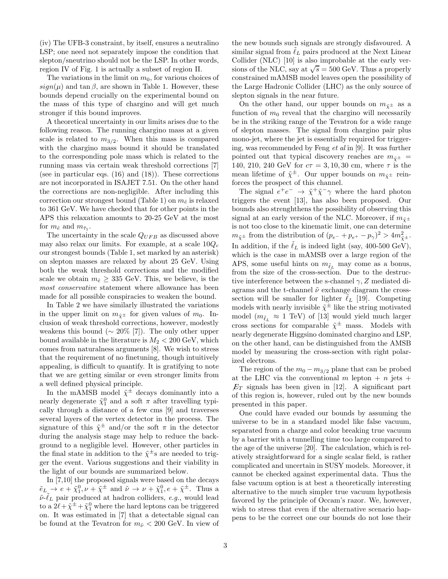(iv) The UFB-3 constraint, by itself, ensures a neutralino LSP; one need not separately impose the condition that slepton/sneutrino should not be the LSP. In other words, region IV of Fig. 1 is actually a subset of region II.

The variations in the limit on  $m_0$ , for various choices of  $sign(\mu)$  and tan  $\beta$ , are shown in Table 1. However, these bounds depend crucially on the experimental bound on the mass of this type of chargino and will get much stronger if this bound improves.

A theoretical uncertainty in our limits arises due to the following reason. The running chargino mass at a given scale is related to  $m_{3/2}$ . When this mass is compared with the chargino mass bound it should be translated to the corresponding pole mass which is related to the running mass via certain weak threshold corrections [7] (see in particular eqs. (16) and (18)). These corrections are not incorporated in ISAJET 7.51. On the other hand the corrections are non-negligible. After including this correction our strongest bound (Table 1) on  $m_{\tilde{e}}$  is relaxed to 361 GeV. We have checked that for other points in the APS this relaxation amounts to 20-25 GeV at the most for  $m_{\tilde{e}}$  and  $m_{\tilde{\tau}_1}$ .

The uncertainty in the scale  $Q_{UFB}$  as discussed above may also relax our limits. For example, at a scale  $10Q_c$ our strongest bounds (Table 1, set marked by an asterisk) on slepton masses are relaxed by about 25 GeV. Using both the weak threshold corrections and the modified scale we obtain  $m_{\tilde{e}} \geq 335$  GeV. This, we believe, is the most conservative statement where allowance has been made for all possible conspiracies to weaken the bound.

In Table 2 we have similarly illustrated the variations in the upper limit on  $m_{\tilde{v}^{\pm}}$  for given values of  $m_0$ . Inclusion of weak threshold corrections, however, modestly weakens this bound ( $\sim 20\%$  [7]). The only other upper bound available in the literature is  $M_2 < 200$  GeV, which comes from naturalness arguments [8]. We wish to stress that the requirement of no finetuning, though intuitively appealing, is difficult to quantify. It is gratifying to note that we are getting similar or even stronger limits from a well defined physical principle.

In the mAMSB model  $\tilde{\chi}^{\pm}$  decays dominantly into a nearly degenerate  $\tilde{\chi}_1^0$  and a soft  $\pi$  after travelling typically through a distance of a few cms [9] and traverses several layers of the vertex detector in the process. The signature of this  $\tilde{\chi}^{\pm}$  and/or the soft  $\pi$  in the detector during the analysis stage may help to reduce the background to a negligible level. However, other particles in the final state in addition to the  $\tilde{\chi}^{\pm}$ s are needed to trigger the event. Various suggestions and their viability in the light of our bounds are summarized below.

In [7,10] the proposed signals were based on the decays  $\tilde{e}_L \to e + \tilde{\chi}_1^0, \nu + \tilde{\chi}^{\pm}$  and  $\tilde{\nu} \to \nu + \tilde{\chi}_1^0, e + \tilde{\chi}^{\pm}$ . Thus a  $\tilde{\nu}$ - $\tilde{\ell}_L$  pair produced at hadron colliders, e.g., would lead to a  $2\ell + \tilde{\chi}^{\pm} + \tilde{\chi}^0_1$  where the hard leptons can be triggered on. It was estimated in [7] that a detectable signal can be found at the Tevatron for  $m_{\tilde{\nu}} < 200$  GeV. In view of

the new bounds such signals are strongly disfavoured. A similar signal from  $\ell_L$  pairs produced at the Next Linear Collider (NLC) [10] is also improbable at the early versions of the NLC, say at  $\sqrt{s} = 500$  GeV. Thus a properly constrained mAMSB model leaves open the possibility of the Large Hadronic Collider (LHC) as the only source of slepton signals in the near future.

On the other hand, our upper bounds on  $m_{\tilde{v}^{\pm}}$  as a function of  $m_0$  reveal that the chargino will necessarily be in the striking range of the Tevatron for a wide range of slepton masses. The signal from chargino pair plus mono-jet, where the jet is essentially required for triggering, was recommended by Feng et al in [9]. It was further pointed out that typical discovery reaches are  $m_{\tilde{\chi}^{\pm}}$  = 140, 210, 240 GeV for  $c\tau = 3, 10, 30$  cm, where  $\tau$  is the mean lifetime of  $\tilde{\chi}^{\pm}$ . Our upper bounds on  $m_{\tilde{\chi}^{\pm}}$  reinforces the prospect of this channel.

The signal  $e^+e^- \rightarrow \tilde{\chi}^+\tilde{\chi}^-\gamma$  where the hard photon triggers the event [13], has also been proposed. Our bounds also strenghthens the possibility of observing this signal at an early version of the NLC. Moreover, if  $m_{\tilde{\mathbf{v}}^{\pm}}$ is not too close to the kinematic limit, one can determine  $m_{\tilde{\chi}^{\pm}}$  from the distribution of  $(p_{e^{-}} + p_{e^{+}} - p_{\gamma})^2 > 4m_{\tilde{\chi}^{\pm}}^2$ . In addition, if the  $\tilde{\ell}_L$  is indeed light (say, 400-500 GeV), which is the case in mAMSB over a large region of the APS, some useful hints on  $m_{\tilde{\ell}_L}$  may come as a bonus, from the size of the cross-section. Due to the destructive interference between the s-channel  $\gamma$ , Z mediated diagrams and the t-channel  $\tilde{\nu}$  exchange diagram the crosssection will be smaller for lighter  $\ell_L$  [19]. Competing models with nearly invisible  $\tilde{\chi}^{\pm}$  like the string motivated model  $(m_{\tilde{\ell}_L} \approx 1 \text{ TeV})$  of [13] would yield much larger cross sections for comparable  $\tilde{\chi}^{\pm}$  mass. Models with nearly degenerate Higgsino dominated chargino and LSP, on the other hand, can be distinguished from the AMSB model by measuring the cross-section with right polarized electrons.

The region of the  $m_0 - m_{3/2}$  plane that can be probed at the LHC via the conventional m lepton  $+ n$  jets  $+$  $E_T$  signals has been given in [12]. A significant part of this region is, however, ruled out by the new bounds presented in this paper.

One could have evaded our bounds by assuming the universe to be in a standard model like false vacuum, separated from a charge and color breaking true vacuum by a barrier with a tunnelling time too large compared to the age of the universe [20]. The calculation, which is relatively straightforward for a single scalar field, is rather complicated and uncertain in SUSY models. Moreover, it cannot be checked against experimental data. Thus the false vacuum option is at best a theoretically interesting alternative to the much simpler true vacuum hypothesis favored by the principle of Occam's razor. We, however, wish to stress that even if the alternative scenario happens to be the correct one our bounds do not lose their